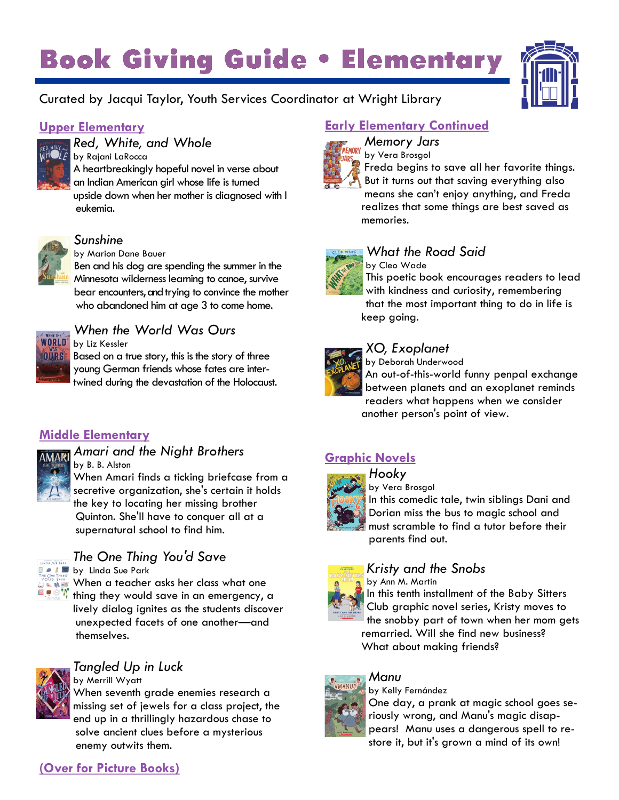# **Book Giving Guide . Elementary**



#### Curated by Jacqui Taylor, Youth Services Coordinator at Wright Library

#### **Upper Elementary**



#### *Red, White, and Whole*

by Rajani LaRocca A heartbreakingly hopeful novel in verse about an Indian American girl whose life is turned upside down when her mother is diagnosed with l eukemia.



### *Sunshine*

by Marion Dane Bauer

Ben and his dog are spending the summer in the Minnesota wilderness learning to canoe, survive bear encounters, and trying to convince the mother who abandoned him at age 3 to come home.



### *When the World Was Ours*

Based on a true story, this is the story of three young German friends whose fates are intertwined during the devastation of the Holocaust.

#### **Middle Elementary**



*Amari and the Night Brothers* by B. B. Alston

When Amari finds a ticking briefcase from a secretive organization, she's certain it holds the key to locating her missing brother Quinton. She'll have to conquer all at a supernatural school to find him.



## *The One Thing You'd Save*

by Linda Sue Park

When a teacher asks her class what one thing they would save in an emergency, a lively dialog ignites as the students discover unexpected facets of one another—and themselves.



### *Tangled Up in Luck*

by Merrill Wyatt When seventh grade enemies research a missing set of jewels for a class project, the end up in a thrillingly hazardous chase to solve ancient clues before a mysterious enemy outwits them.

### **Early Elementary Continued**



#### *Memory Jars* by Vera Brosgol

Freda begins to save all her favorite things. But it turns out that saving everything also means she can't enjoy anything, and Freda

realizes that some things are best saved as memories.



### *What the Road Said*

by Cleo Wade This poetic book encourages readers to lead with kindness and curiosity, remembering that the most important thing to do in life is keep going.



#### *XO, Exoplanet*

by Deborah Underwood

An out-of-this-world funny penpal exchange between planets and an exoplanet reminds readers what happens when we consider another person's point of view.

### **Graphic Novels**



*Hooky*

by Vera Brosgol

In this comedic tale, twin siblings Dani and Dorian miss the bus to magic school and must scramble to find a tutor before their parents find out.

#### *Kristy and the Snobs*

by Ann M. Martin In this tenth installment of the Baby Sitters Club graphic novel series, Kristy moves to the snobby part of town when her mom gets remarried. Will she find new business? What about making friends?

#### *Manu* by Kelly Fernández



One day, a prank at magic school goes seriously wrong, and Manu's magic disappears! Manu uses a dangerous spell to restore it, but it's grown a mind of its own!